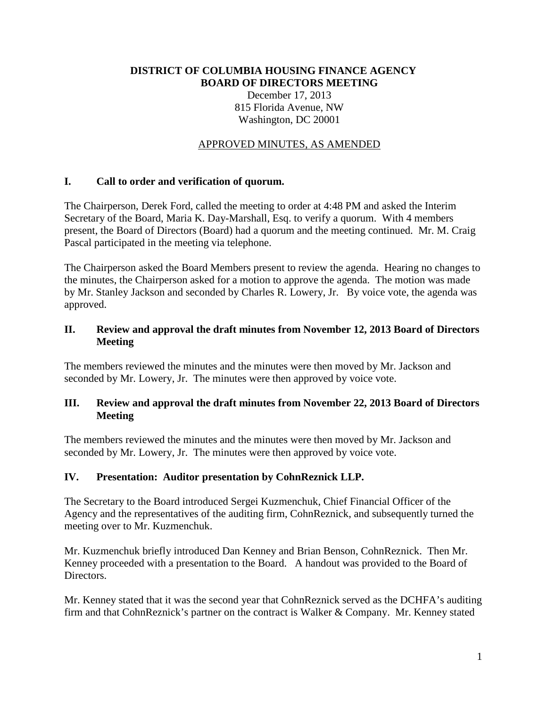## **DISTRICT OF COLUMBIA HOUSING FINANCE AGENCY BOARD OF DIRECTORS MEETING** December 17, 2013 815 Florida Avenue, NW Washington, DC 20001

### APPROVED MINUTES, AS AMENDED

### **I. Call to order and verification of quorum.**

The Chairperson, Derek Ford, called the meeting to order at 4:48 PM and asked the Interim Secretary of the Board, Maria K. Day-Marshall, Esq. to verify a quorum. With 4 members present, the Board of Directors (Board) had a quorum and the meeting continued. Mr. M. Craig Pascal participated in the meeting via telephone.

The Chairperson asked the Board Members present to review the agenda. Hearing no changes to the minutes, the Chairperson asked for a motion to approve the agenda. The motion was made by Mr. Stanley Jackson and seconded by Charles R. Lowery, Jr. By voice vote, the agenda was approved.

## **II. Review and approval the draft minutes from November 12, 2013 Board of Directors Meeting**

The members reviewed the minutes and the minutes were then moved by Mr. Jackson and seconded by Mr. Lowery, Jr. The minutes were then approved by voice vote.

### **III. Review and approval the draft minutes from November 22, 2013 Board of Directors Meeting**

The members reviewed the minutes and the minutes were then moved by Mr. Jackson and seconded by Mr. Lowery, Jr. The minutes were then approved by voice vote.

#### **IV. Presentation: Auditor presentation by CohnReznick LLP.**

The Secretary to the Board introduced Sergei Kuzmenchuk, Chief Financial Officer of the Agency and the representatives of the auditing firm, CohnReznick, and subsequently turned the meeting over to Mr. Kuzmenchuk.

Mr. Kuzmenchuk briefly introduced Dan Kenney and Brian Benson, CohnReznick. Then Mr. Kenney proceeded with a presentation to the Board. A handout was provided to the Board of Directors.

Mr. Kenney stated that it was the second year that CohnReznick served as the DCHFA's auditing firm and that CohnReznick's partner on the contract is Walker & Company. Mr. Kenney stated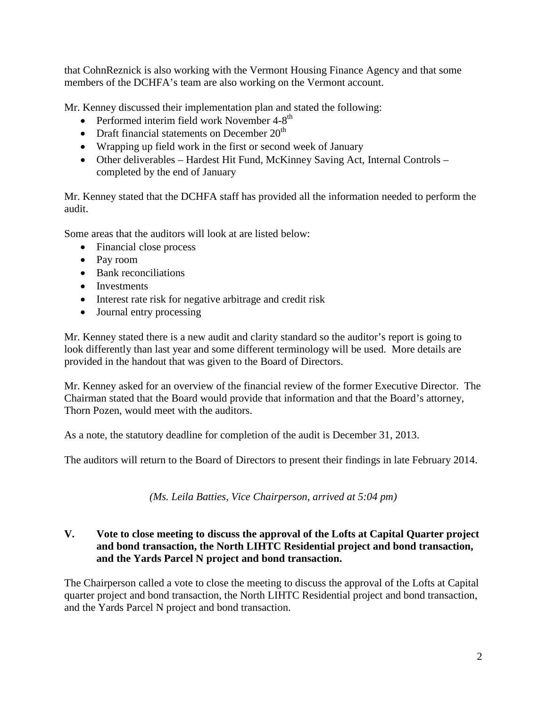that CohnReznick is also working with the Vermont Housing Finance Agency and that some members of the DCHFA's team are also working on the Vermont account.

Mr. Kenney discussed their implementation plan and stated the following:

- Performed interim field work November  $4-8$ <sup>th</sup>
- Draft financial statements on December  $20<sup>th</sup>$
- Wrapping up field work in the first or second week of January
- Other deliverables Hardest Hit Fund, McKinney Saving Act, Internal Controls completed by the end of January

Mr. Kenney stated that the DCHFA staff has provided all the information needed to perform the audit.

Some areas that the auditors will look at are listed below:

- Financial close process
- Pay room
- Bank reconciliations
- Investments
- Interest rate risk for negative arbitrage and credit risk
- Journal entry processing

Mr. Kenney stated there is a new audit and clarity standard so the auditor's report is going to look differently than last year and some different terminology will be used. More details are provided in the handout that was given to the Board of Directors.

Mr. Kenney asked for an overview of the financial review of the former Executive Director. The Chairman stated that the Board would provide that information and that the Board's attorney, Thorn Pozen, would meet with the auditors.

As a note, the statutory deadline for completion of the audit is December 31, 2013.

The auditors will return to the Board of Directors to present their findings in late February 2014.

*(Ms. Leila Batties, Vice Chairperson, arrived at 5:04 pm)*

# **V. Vote to close meeting to discuss the approval of the Lofts at Capital Quarter project and bond transaction, the North LIHTC Residential project and bond transaction, and the Yards Parcel N project and bond transaction.**

The Chairperson called a vote to close the meeting to discuss the approval of the Lofts at Capital quarter project and bond transaction, the North LIHTC Residential project and bond transaction, and the Yards Parcel N project and bond transaction.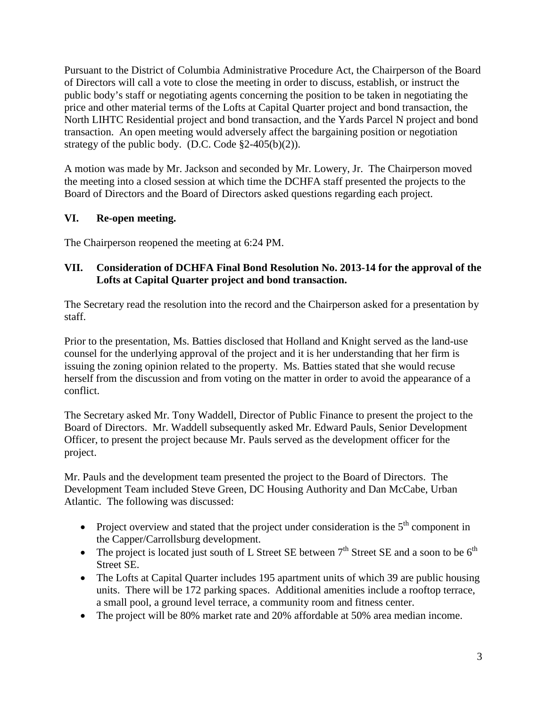Pursuant to the District of Columbia Administrative Procedure Act, the Chairperson of the Board of Directors will call a vote to close the meeting in order to discuss, establish, or instruct the public body's staff or negotiating agents concerning the position to be taken in negotiating the price and other material terms of the Lofts at Capital Quarter project and bond transaction, the North LIHTC Residential project and bond transaction, and the Yards Parcel N project and bond transaction. An open meeting would adversely affect the bargaining position or negotiation strategy of the public body. (D.C. Code  $\S2-405(b)(2)$ ).

A motion was made by Mr. Jackson and seconded by Mr. Lowery, Jr. The Chairperson moved the meeting into a closed session at which time the DCHFA staff presented the projects to the Board of Directors and the Board of Directors asked questions regarding each project.

# **VI. Re-open meeting.**

The Chairperson reopened the meeting at 6:24 PM.

## **VII. Consideration of DCHFA Final Bond Resolution No. 2013-14 for the approval of the Lofts at Capital Quarter project and bond transaction.**

The Secretary read the resolution into the record and the Chairperson asked for a presentation by staff.

Prior to the presentation, Ms. Batties disclosed that Holland and Knight served as the land-use counsel for the underlying approval of the project and it is her understanding that her firm is issuing the zoning opinion related to the property. Ms. Batties stated that she would recuse herself from the discussion and from voting on the matter in order to avoid the appearance of a conflict.

The Secretary asked Mr. Tony Waddell, Director of Public Finance to present the project to the Board of Directors. Mr. Waddell subsequently asked Mr. Edward Pauls, Senior Development Officer, to present the project because Mr. Pauls served as the development officer for the project.

Mr. Pauls and the development team presented the project to the Board of Directors. The Development Team included Steve Green, DC Housing Authority and Dan McCabe, Urban Atlantic. The following was discussed:

- Project overview and stated that the project under consideration is the  $5<sup>th</sup>$  component in the Capper/Carrollsburg development.
- The project is located just south of L Street SE between  $7<sup>th</sup>$  Street SE and a soon to be  $6<sup>th</sup>$ Street SE.
- The Lofts at Capital Quarter includes 195 apartment units of which 39 are public housing units. There will be 172 parking spaces. Additional amenities include a rooftop terrace, a small pool, a ground level terrace, a community room and fitness center.
- The project will be 80% market rate and 20% affordable at 50% area median income.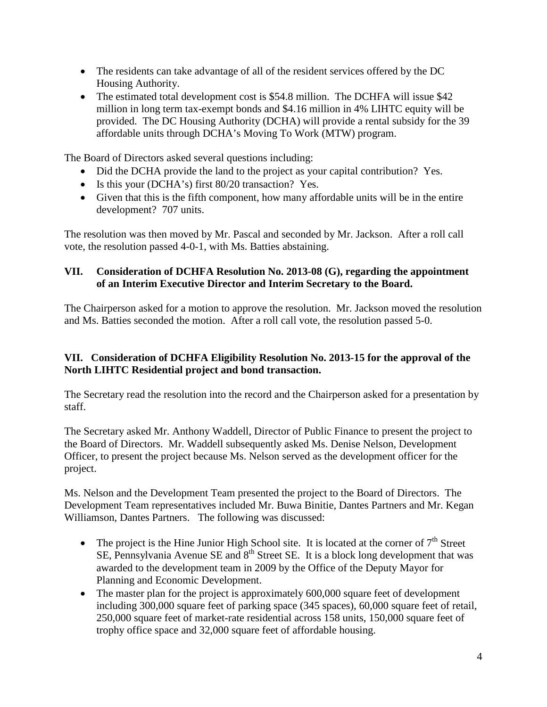- The residents can take advantage of all of the resident services offered by the DC Housing Authority.
- The estimated total development cost is \$54.8 million. The DCHFA will issue \$42 million in long term tax-exempt bonds and \$4.16 million in 4% LIHTC equity will be provided. The DC Housing Authority (DCHA) will provide a rental subsidy for the 39 affordable units through DCHA's Moving To Work (MTW) program.

The Board of Directors asked several questions including:

- Did the DCHA provide the land to the project as your capital contribution? Yes.
- Is this your (DCHA's) first 80/20 transaction? Yes.
- Given that this is the fifth component, how many affordable units will be in the entire development? 707 units.

The resolution was then moved by Mr. Pascal and seconded by Mr. Jackson. After a roll call vote, the resolution passed 4-0-1, with Ms. Batties abstaining.

# **VII. Consideration of DCHFA Resolution No. 2013-08 (G), regarding the appointment of an Interim Executive Director and Interim Secretary to the Board.**

The Chairperson asked for a motion to approve the resolution. Mr. Jackson moved the resolution and Ms. Batties seconded the motion. After a roll call vote, the resolution passed 5-0.

# **VII. Consideration of DCHFA Eligibility Resolution No. 2013-15 for the approval of the North LIHTC Residential project and bond transaction.**

The Secretary read the resolution into the record and the Chairperson asked for a presentation by staff.

The Secretary asked Mr. Anthony Waddell, Director of Public Finance to present the project to the Board of Directors. Mr. Waddell subsequently asked Ms. Denise Nelson, Development Officer, to present the project because Ms. Nelson served as the development officer for the project.

Ms. Nelson and the Development Team presented the project to the Board of Directors. The Development Team representatives included Mr. Buwa Binitie, Dantes Partners and Mr. Kegan Williamson, Dantes Partners. The following was discussed:

- The project is the Hine Junior High School site. It is located at the corner of  $7<sup>th</sup>$  Street SE, Pennsylvania Avenue SE and 8<sup>th</sup> Street SE. It is a block long development that was awarded to the development team in 2009 by the Office of the Deputy Mayor for Planning and Economic Development.
- The master plan for the project is approximately 600,000 square feet of development including 300,000 square feet of parking space (345 spaces), 60,000 square feet of retail, 250,000 square feet of market-rate residential across 158 units, 150,000 square feet of trophy office space and 32,000 square feet of affordable housing.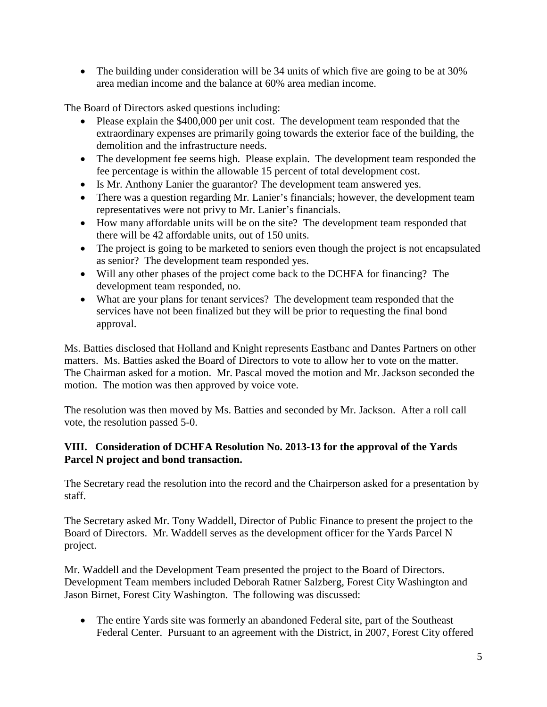• The building under consideration will be 34 units of which five are going to be at 30% area median income and the balance at 60% area median income.

The Board of Directors asked questions including:

- Please explain the \$400,000 per unit cost. The development team responded that the extraordinary expenses are primarily going towards the exterior face of the building, the demolition and the infrastructure needs.
- The development fee seems high. Please explain. The development team responded the fee percentage is within the allowable 15 percent of total development cost.
- Is Mr. Anthony Lanier the guarantor? The development team answered yes.
- There was a question regarding Mr. Lanier's financials; however, the development team representatives were not privy to Mr. Lanier's financials.
- How many affordable units will be on the site? The development team responded that there will be 42 affordable units, out of 150 units.
- The project is going to be marketed to seniors even though the project is not encapsulated as senior? The development team responded yes.
- Will any other phases of the project come back to the DCHFA for financing? The development team responded, no.
- What are your plans for tenant services? The development team responded that the services have not been finalized but they will be prior to requesting the final bond approval.

Ms. Batties disclosed that Holland and Knight represents Eastbanc and Dantes Partners on other matters. Ms. Batties asked the Board of Directors to vote to allow her to vote on the matter. The Chairman asked for a motion. Mr. Pascal moved the motion and Mr. Jackson seconded the motion. The motion was then approved by voice vote.

The resolution was then moved by Ms. Batties and seconded by Mr. Jackson. After a roll call vote, the resolution passed 5-0.

## **VIII. Consideration of DCHFA Resolution No. 2013-13 for the approval of the Yards Parcel N project and bond transaction.**

The Secretary read the resolution into the record and the Chairperson asked for a presentation by staff.

The Secretary asked Mr. Tony Waddell, Director of Public Finance to present the project to the Board of Directors. Mr. Waddell serves as the development officer for the Yards Parcel N project.

Mr. Waddell and the Development Team presented the project to the Board of Directors. Development Team members included Deborah Ratner Salzberg, Forest City Washington and Jason Birnet, Forest City Washington. The following was discussed:

• The entire Yards site was formerly an abandoned Federal site, part of the Southeast Federal Center. Pursuant to an agreement with the District, in 2007, Forest City offered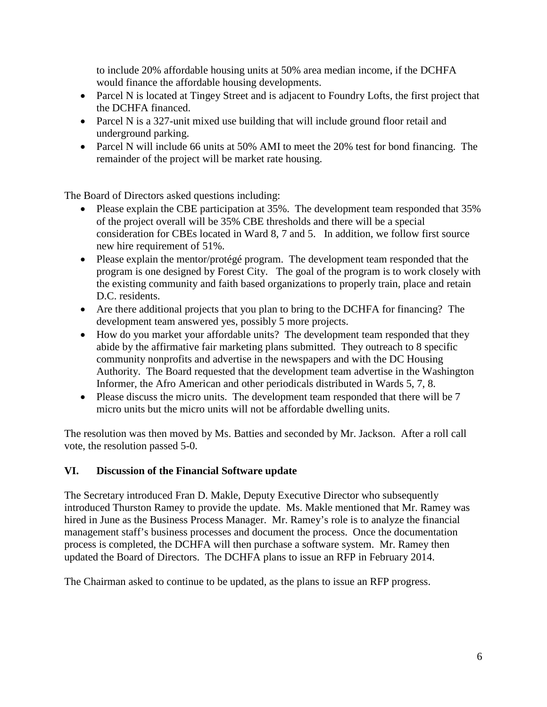to include 20% affordable housing units at 50% area median income, if the DCHFA would finance the affordable housing developments.

- Parcel N is located at Tingey Street and is adjacent to Foundry Lofts, the first project that the DCHFA financed.
- Parcel N is a 327-unit mixed use building that will include ground floor retail and underground parking.
- Parcel N will include 66 units at 50% AMI to meet the 20% test for bond financing. The remainder of the project will be market rate housing.

The Board of Directors asked questions including:

- Please explain the CBE participation at 35%. The development team responded that 35% of the project overall will be 35% CBE thresholds and there will be a special consideration for CBEs located in Ward 8, 7 and 5. In addition, we follow first source new hire requirement of 51%.
- Please explain the mentor/protégé program. The development team responded that the program is one designed by Forest City. The goal of the program is to work closely with the existing community and faith based organizations to properly train, place and retain D.C. residents.
- Are there additional projects that you plan to bring to the DCHFA for financing? The development team answered yes, possibly 5 more projects.
- How do you market your affordable units? The development team responded that they abide by the affirmative fair marketing plans submitted. They outreach to 8 specific community nonprofits and advertise in the newspapers and with the DC Housing Authority. The Board requested that the development team advertise in the Washington Informer, the Afro American and other periodicals distributed in Wards 5, 7, 8.
- Please discuss the micro units. The development team responded that there will be 7 micro units but the micro units will not be affordable dwelling units.

The resolution was then moved by Ms. Batties and seconded by Mr. Jackson. After a roll call vote, the resolution passed 5-0.

# **VI. Discussion of the Financial Software update**

The Secretary introduced Fran D. Makle, Deputy Executive Director who subsequently introduced Thurston Ramey to provide the update. Ms. Makle mentioned that Mr. Ramey was hired in June as the Business Process Manager. Mr. Ramey's role is to analyze the financial management staff's business processes and document the process. Once the documentation process is completed, the DCHFA will then purchase a software system. Mr. Ramey then updated the Board of Directors. The DCHFA plans to issue an RFP in February 2014.

The Chairman asked to continue to be updated, as the plans to issue an RFP progress.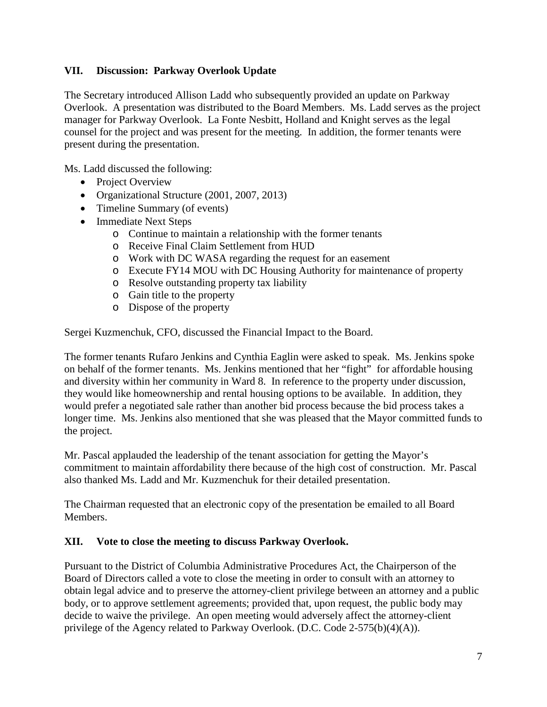## **VII. Discussion: Parkway Overlook Update**

The Secretary introduced Allison Ladd who subsequently provided an update on Parkway Overlook. A presentation was distributed to the Board Members. Ms. Ladd serves as the project manager for Parkway Overlook. La Fonte Nesbitt, Holland and Knight serves as the legal counsel for the project and was present for the meeting. In addition, the former tenants were present during the presentation.

Ms. Ladd discussed the following:

- Project Overview
- Organizational Structure (2001, 2007, 2013)
- Timeline Summary (of events)
- Immediate Next Steps
	- o Continue to maintain a relationship with the former tenants
	- o Receive Final Claim Settlement from HUD
	- o Work with DC WASA regarding the request for an easement
	- o Execute FY14 MOU with DC Housing Authority for maintenance of property
	- o Resolve outstanding property tax liability
	- o Gain title to the property
	- o Dispose of the property

Sergei Kuzmenchuk, CFO, discussed the Financial Impact to the Board.

The former tenants Rufaro Jenkins and Cynthia Eaglin were asked to speak. Ms. Jenkins spoke on behalf of the former tenants. Ms. Jenkins mentioned that her "fight" for affordable housing and diversity within her community in Ward 8. In reference to the property under discussion, they would like homeownership and rental housing options to be available. In addition, they would prefer a negotiated sale rather than another bid process because the bid process takes a longer time. Ms. Jenkins also mentioned that she was pleased that the Mayor committed funds to the project.

Mr. Pascal applauded the leadership of the tenant association for getting the Mayor's commitment to maintain affordability there because of the high cost of construction. Mr. Pascal also thanked Ms. Ladd and Mr. Kuzmenchuk for their detailed presentation.

The Chairman requested that an electronic copy of the presentation be emailed to all Board Members.

#### **XII. Vote to close the meeting to discuss Parkway Overlook.**

Pursuant to the District of Columbia Administrative Procedures Act, the Chairperson of the Board of Directors called a vote to close the meeting in order to consult with an attorney to obtain legal advice and to preserve the attorney-client privilege between an attorney and a public body, or to approve settlement agreements; provided that, upon request, the public body may decide to waive the privilege. An open meeting would adversely affect the attorney-client privilege of the Agency related to Parkway Overlook. (D.C. Code 2-575(b)(4)(A)).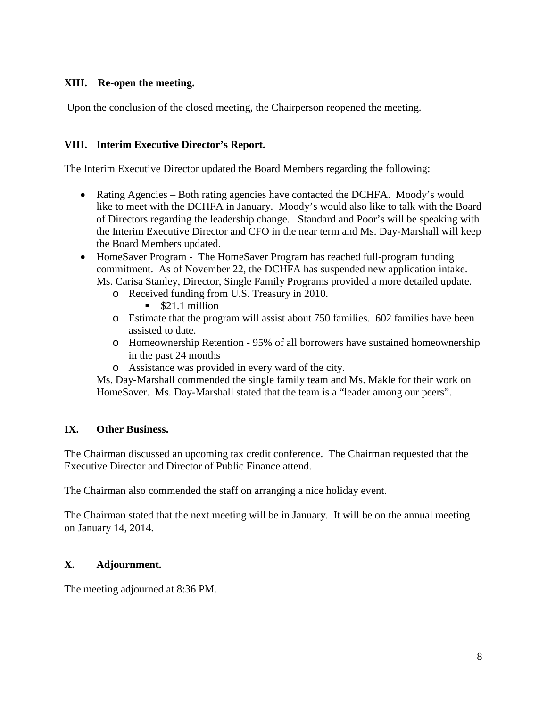## **XIII. Re-open the meeting.**

Upon the conclusion of the closed meeting, the Chairperson reopened the meeting.

### **VIII. Interim Executive Director's Report.**

The Interim Executive Director updated the Board Members regarding the following:

- Rating Agencies Both rating agencies have contacted the DCHFA. Moody's would like to meet with the DCHFA in January. Moody's would also like to talk with the Board of Directors regarding the leadership change. Standard and Poor's will be speaking with the Interim Executive Director and CFO in the near term and Ms. Day-Marshall will keep the Board Members updated.
- HomeSaver Program The HomeSaver Program has reached full-program funding commitment. As of November 22, the DCHFA has suspended new application intake. Ms. Carisa Stanley, Director, Single Family Programs provided a more detailed update.
	- o Received funding from U.S. Treasury in 2010.
		- $\bullet$  \$21.1 million
	- o Estimate that the program will assist about 750 families. 602 families have been assisted to date.
	- o Homeownership Retention 95% of all borrowers have sustained homeownership in the past 24 months
	- o Assistance was provided in every ward of the city.

Ms. Day-Marshall commended the single family team and Ms. Makle for their work on HomeSaver. Ms. Day-Marshall stated that the team is a "leader among our peers".

## **IX. Other Business.**

The Chairman discussed an upcoming tax credit conference. The Chairman requested that the Executive Director and Director of Public Finance attend.

The Chairman also commended the staff on arranging a nice holiday event.

The Chairman stated that the next meeting will be in January. It will be on the annual meeting on January 14, 2014.

## **X. Adjournment.**

The meeting adjourned at 8:36 PM.